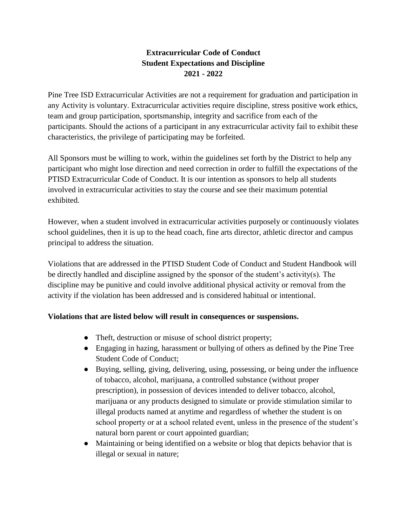# **Extracurricular Code of Conduct Student Expectations and Discipline 2021 - 2022**

Pine Tree ISD Extracurricular Activities are not a requirement for graduation and participation in any Activity is voluntary. Extracurricular activities require discipline, stress positive work ethics, team and group participation, sportsmanship, integrity and sacrifice from each of the participants. Should the actions of a participant in any extracurricular activity fail to exhibit these characteristics, the privilege of participating may be forfeited.

All Sponsors must be willing to work, within the guidelines set forth by the District to help any participant who might lose direction and need correction in order to fulfill the expectations of the PTISD Extracurricular Code of Conduct. It is our intention as sponsors to help all students involved in extracurricular activities to stay the course and see their maximum potential exhibited.

However, when a student involved in extracurricular activities purposely or continuously violates school guidelines, then it is up to the head coach, fine arts director, athletic director and campus principal to address the situation.

Violations that are addressed in the PTISD Student Code of Conduct and Student Handbook will be directly handled and discipline assigned by the sponsor of the student's activity(s). The discipline may be punitive and could involve additional physical activity or removal from the activity if the violation has been addressed and is considered habitual or intentional.

### **Violations that are listed below will result in consequences or suspensions.**

- Theft, destruction or misuse of school district property;
- Engaging in hazing, harassment or bullying of others as defined by the Pine Tree Student Code of Conduct;
- Buying, selling, giving, delivering, using, possessing, or being under the influence of tobacco, alcohol, marijuana, a controlled substance (without proper prescription), in possession of devices intended to deliver tobacco, alcohol, marijuana or any products designed to simulate or provide stimulation similar to illegal products named at anytime and regardless of whether the student is on school property or at a school related event, unless in the presence of the student's natural born parent or court appointed guardian;
- Maintaining or being identified on a website or blog that depicts behavior that is illegal or sexual in nature;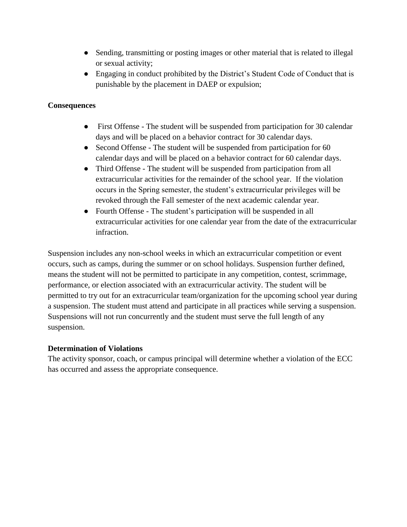- Sending, transmitting or posting images or other material that is related to illegal or sexual activity;
- Engaging in conduct prohibited by the District's Student Code of Conduct that is punishable by the placement in DAEP or expulsion;

## **Consequences**

- First Offense The student will be suspended from participation for 30 calendar days and will be placed on a behavior contract for 30 calendar days.
- Second Offense The student will be suspended from participation for 60 calendar days and will be placed on a behavior contract for 60 calendar days.
- Third Offense The student will be suspended from participation from all extracurricular activities for the remainder of the school year. If the violation occurs in the Spring semester, the student's extracurricular privileges will be revoked through the Fall semester of the next academic calendar year.
- Fourth Offense The student's participation will be suspended in all extracurricular activities for one calendar year from the date of the extracurricular infraction.

Suspension includes any non-school weeks in which an extracurricular competition or event occurs, such as camps, during the summer or on school holidays. Suspension further defined, means the student will not be permitted to participate in any competition, contest, scrimmage, performance, or election associated with an extracurricular activity. The student will be permitted to try out for an extracurricular team/organization for the upcoming school year during a suspension. The student must attend and participate in all practices while serving a suspension. Suspensions will not run concurrently and the student must serve the full length of any suspension.

### **Determination of Violations**

The activity sponsor, coach, or campus principal will determine whether a violation of the ECC has occurred and assess the appropriate consequence.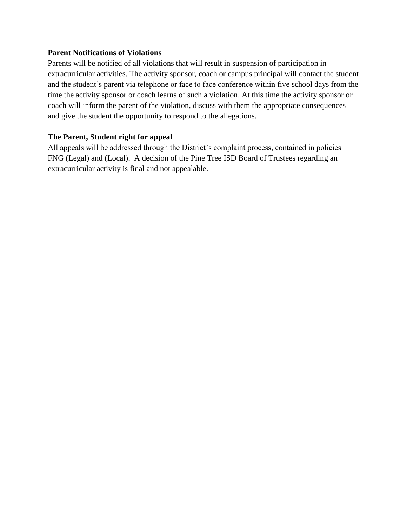#### **Parent Notifications of Violations**

Parents will be notified of all violations that will result in suspension of participation in extracurricular activities. The activity sponsor, coach or campus principal will contact the student and the student's parent via telephone or face to face conference within five school days from the time the activity sponsor or coach learns of such a violation. At this time the activity sponsor or coach will inform the parent of the violation, discuss with them the appropriate consequences and give the student the opportunity to respond to the allegations.

### **The Parent, Student right for appeal**

All appeals will be addressed through the District's complaint process, contained in policies FNG (Legal) and (Local). A decision of the Pine Tree ISD Board of Trustees regarding an extracurricular activity is final and not appealable.